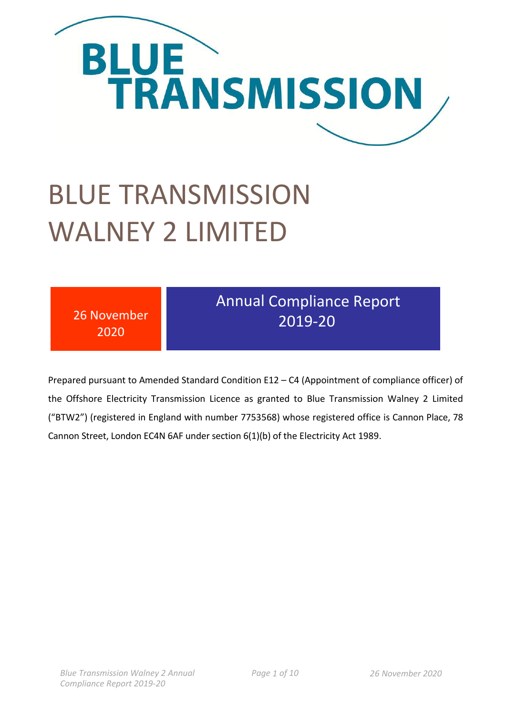

# BLUE TRANSMISSION WALNEY 2 LIMITED

| <b>Annual Compliance Report</b><br>26 November<br>2019-20<br>2020 |
|-------------------------------------------------------------------|
|-------------------------------------------------------------------|

Prepared pursuant to Amended Standard Condition E12 – C4 (Appointment of compliance officer) of the Offshore Electricity Transmission Licence as granted to Blue Transmission Walney 2 Limited ("BTW2") (registered in England with number 7753568) whose registered office is Cannon Place, 78 Cannon Street, London EC4N 6AF under section 6(1)(b) of the Electricity Act 1989.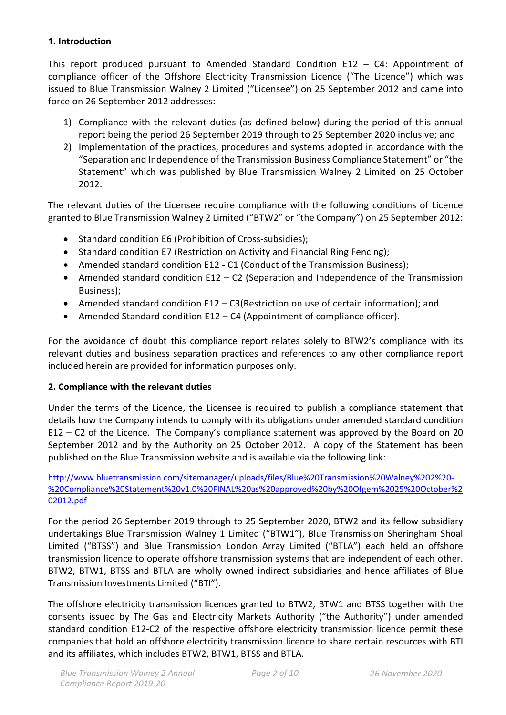#### **1. Introduction**

This report produced pursuant to Amended Standard Condition E12 – C4: Appointment of compliance officer of the Offshore Electricity Transmission Licence ("The Licence") which was issued to Blue Transmission Walney 2 Limited ("Licensee") on 25 September 2012 and came into force on 26 September 2012 addresses:

- 1) Compliance with the relevant duties (as defined below) during the period of this annual report being the period 26 September 2019 through to 25 September 2020 inclusive; and
- 2) Implementation of the practices, procedures and systems adopted in accordance with the "Separation and Independence of the Transmission Business Compliance Statement" or "the Statement" which was published by Blue Transmission Walney 2 Limited on 25 October 2012.

The relevant duties of the Licensee require compliance with the following conditions of Licence granted to Blue Transmission Walney 2 Limited ("BTW2" or "the Company") on 25 September 2012:

- Standard condition E6 (Prohibition of Cross-subsidies);
- Standard condition E7 (Restriction on Activity and Financial Ring Fencing);
- Amended standard condition E12 C1 (Conduct of the Transmission Business);
- Amended standard condition E12 C2 (Separation and Independence of the Transmission Business);
- Amended standard condition E12 C3(Restriction on use of certain information); and
- Amended Standard condition E12 C4 (Appointment of compliance officer).

For the avoidance of doubt this compliance report relates solely to BTW2's compliance with its relevant duties and business separation practices and references to any other compliance report included herein are provided for information purposes only.

# **2. Compliance with the relevant duties**

Under the terms of the Licence, the Licensee is required to publish a compliance statement that details how the Company intends to comply with its obligations under amended standard condition E12 – C2 of the Licence. The Company's compliance statement was approved by the Board on 20 September 2012 and by the Authority on 25 October 2012. A copy of the Statement has been published on the Blue Transmission website and is available via the following link:

[http://www.bluetransmission.com/sitemanager/uploads/files/Blue%20Transmission%20Walney%202%20-](http://www.bluetransmission.com/sitemanager/uploads/files/Blue%20Transmission%20Walney%202%20-%20Compliance%20Statement%20v1.0%20FINAL%20as%20approved%20by%20Ofgem%2025%20October%202012.pdf) [%20Compliance%20Statement%20v1.0%20FINAL%20as%20approved%20by%20Ofgem%2025%20October%2](http://www.bluetransmission.com/sitemanager/uploads/files/Blue%20Transmission%20Walney%202%20-%20Compliance%20Statement%20v1.0%20FINAL%20as%20approved%20by%20Ofgem%2025%20October%202012.pdf) [02012.pdf](http://www.bluetransmission.com/sitemanager/uploads/files/Blue%20Transmission%20Walney%202%20-%20Compliance%20Statement%20v1.0%20FINAL%20as%20approved%20by%20Ofgem%2025%20October%202012.pdf)

For the period 26 September 2019 through to 25 September 2020, BTW2 and its fellow subsidiary undertakings Blue Transmission Walney 1 Limited ("BTW1"), Blue Transmission Sheringham Shoal Limited ("BTSS") and Blue Transmission London Array Limited ("BTLA") each held an offshore transmission licence to operate offshore transmission systems that are independent of each other. BTW2, BTW1, BTSS and BTLA are wholly owned indirect subsidiaries and hence affiliates of Blue Transmission Investments Limited ("BTI").

The offshore electricity transmission licences granted to BTW2, BTW1 and BTSS together with the consents issued by The Gas and Electricity Markets Authority ("the Authority") under amended standard condition E12-C2 of the respective offshore electricity transmission licence permit these companies that hold an offshore electricity transmission licence to share certain resources with BTI and its affiliates, which includes BTW2, BTW1, BTSS and BTLA.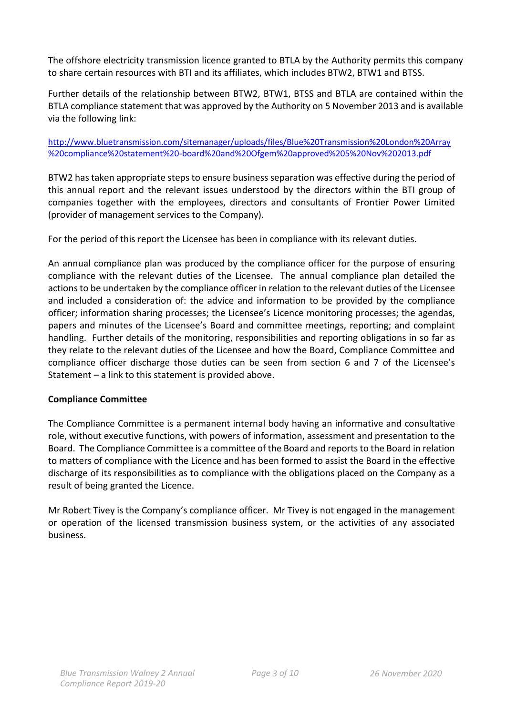The offshore electricity transmission licence granted to BTLA by the Authority permits this company to share certain resources with BTI and its affiliates, which includes BTW2, BTW1 and BTSS.

Further details of the relationship between BTW2, BTW1, BTSS and BTLA are contained within the BTLA compliance statement that was approved by the Authority on 5 November 2013 and is available via the following link:

#### [http://www.bluetransmission.com/sitemanager/uploads/files/Blue%20Transmission%20London%20Array](http://www.bluetransmission.com/sitemanager/uploads/files/Blue%20Transmission%20London%20Array%20compliance%20statement%20-board%20and%20Ofgem%20approved%205%20Nov%202013.pdf) [%20compliance%20statement%20-board%20and%20Ofgem%20approved%205%20Nov%202013.pdf](http://www.bluetransmission.com/sitemanager/uploads/files/Blue%20Transmission%20London%20Array%20compliance%20statement%20-board%20and%20Ofgem%20approved%205%20Nov%202013.pdf)

BTW2 has taken appropriate steps to ensure business separation was effective during the period of this annual report and the relevant issues understood by the directors within the BTI group of companies together with the employees, directors and consultants of Frontier Power Limited (provider of management services to the Company).

For the period of this report the Licensee has been in compliance with its relevant duties.

An annual compliance plan was produced by the compliance officer for the purpose of ensuring compliance with the relevant duties of the Licensee. The annual compliance plan detailed the actions to be undertaken by the compliance officer in relation to the relevant duties of the Licensee and included a consideration of: the advice and information to be provided by the compliance officer; information sharing processes; the Licensee's Licence monitoring processes; the agendas, papers and minutes of the Licensee's Board and committee meetings, reporting; and complaint handling. Further details of the monitoring, responsibilities and reporting obligations in so far as they relate to the relevant duties of the Licensee and how the Board, Compliance Committee and compliance officer discharge those duties can be seen from section 6 and 7 of the Licensee's Statement – a link to this statement is provided above.

#### **Compliance Committee**

The Compliance Committee is a permanent internal body having an informative and consultative role, without executive functions, with powers of information, assessment and presentation to the Board. The Compliance Committee is a committee of the Board and reports to the Board in relation to matters of compliance with the Licence and has been formed to assist the Board in the effective discharge of its responsibilities as to compliance with the obligations placed on the Company as a result of being granted the Licence.

Mr Robert Tivey is the Company's compliance officer. Mr Tivey is not engaged in the management or operation of the licensed transmission business system, or the activities of any associated business.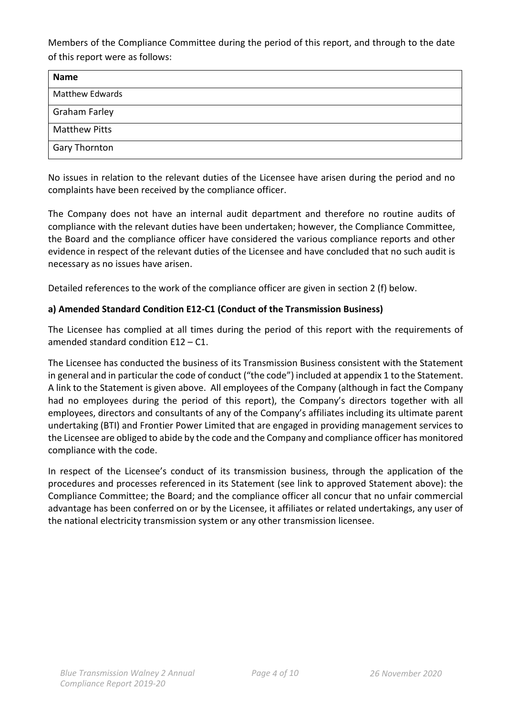Members of the Compliance Committee during the period of this report, and through to the date of this report were as follows:

| <b>Name</b>            |  |
|------------------------|--|
| <b>Matthew Edwards</b> |  |
| <b>Graham Farley</b>   |  |
| <b>Matthew Pitts</b>   |  |
| <b>Gary Thornton</b>   |  |

No issues in relation to the relevant duties of the Licensee have arisen during the period and no complaints have been received by the compliance officer.

The Company does not have an internal audit department and therefore no routine audits of compliance with the relevant duties have been undertaken; however, the Compliance Committee, the Board and the compliance officer have considered the various compliance reports and other evidence in respect of the relevant duties of the Licensee and have concluded that no such audit is necessary as no issues have arisen.

Detailed references to the work of the compliance officer are given in section 2 (f) below.

# **a) Amended Standard Condition E12-C1 (Conduct of the Transmission Business)**

The Licensee has complied at all times during the period of this report with the requirements of amended standard condition E12 – C1.

The Licensee has conducted the business of its Transmission Business consistent with the Statement in general and in particular the code of conduct ("the code") included at appendix 1 to the Statement. A link to the Statement is given above. All employees of the Company (although in fact the Company had no employees during the period of this report), the Company's directors together with all employees, directors and consultants of any of the Company's affiliates including its ultimate parent undertaking (BTI) and Frontier Power Limited that are engaged in providing management services to the Licensee are obliged to abide by the code and the Company and compliance officer has monitored compliance with the code.

In respect of the Licensee's conduct of its transmission business, through the application of the procedures and processes referenced in its Statement (see link to approved Statement above): the Compliance Committee; the Board; and the compliance officer all concur that no unfair commercial advantage has been conferred on or by the Licensee, it affiliates or related undertakings, any user of the national electricity transmission system or any other transmission licensee.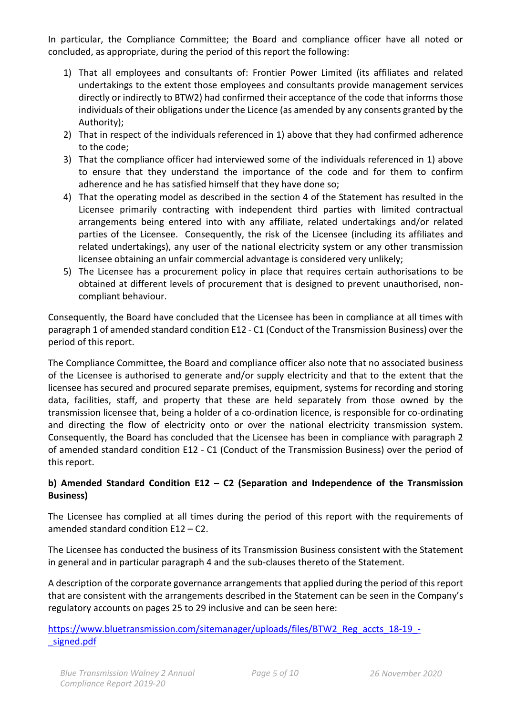In particular, the Compliance Committee; the Board and compliance officer have all noted or concluded, as appropriate, during the period of this report the following:

- 1) That all employees and consultants of: Frontier Power Limited (its affiliates and related undertakings to the extent those employees and consultants provide management services directly or indirectly to BTW2) had confirmed their acceptance of the code that informs those individuals of their obligations under the Licence (as amended by any consents granted by the Authority);
- 2) That in respect of the individuals referenced in 1) above that they had confirmed adherence to the code;
- 3) That the compliance officer had interviewed some of the individuals referenced in 1) above to ensure that they understand the importance of the code and for them to confirm adherence and he has satisfied himself that they have done so;
- 4) That the operating model as described in the section 4 of the Statement has resulted in the Licensee primarily contracting with independent third parties with limited contractual arrangements being entered into with any affiliate, related undertakings and/or related parties of the Licensee. Consequently, the risk of the Licensee (including its affiliates and related undertakings), any user of the national electricity system or any other transmission licensee obtaining an unfair commercial advantage is considered very unlikely;
- 5) The Licensee has a procurement policy in place that requires certain authorisations to be obtained at different levels of procurement that is designed to prevent unauthorised, noncompliant behaviour.

Consequently, the Board have concluded that the Licensee has been in compliance at all times with paragraph 1 of amended standard condition E12 - C1 (Conduct of the Transmission Business) over the period of this report.

The Compliance Committee, the Board and compliance officer also note that no associated business of the Licensee is authorised to generate and/or supply electricity and that to the extent that the licensee has secured and procured separate premises, equipment, systems for recording and storing data, facilities, staff, and property that these are held separately from those owned by the transmission licensee that, being a holder of a co-ordination licence, is responsible for co-ordinating and directing the flow of electricity onto or over the national electricity transmission system. Consequently, the Board has concluded that the Licensee has been in compliance with paragraph 2 of amended standard condition E12 - C1 (Conduct of the Transmission Business) over the period of this report.

# **b) Amended Standard Condition E12 – C2 (Separation and Independence of the Transmission Business)**

The Licensee has complied at all times during the period of this report with the requirements of amended standard condition E12 – C2.

The Licensee has conducted the business of its Transmission Business consistent with the Statement in general and in particular paragraph 4 and the sub-clauses thereto of the Statement.

A description of the corporate governance arrangements that applied during the period of this report that are consistent with the arrangements described in the Statement can be seen in the Company's regulatory accounts on pages 25 to 29 inclusive and can be seen here:

#### [https://www.bluetransmission.com/sitemanager/uploads/files/BTW2\\_Reg\\_accts\\_18-19\\_](https://www.bluetransmission.com/sitemanager/uploads/files/BTW2_Reg_accts_18-19_-_signed.pdf) signed.pdf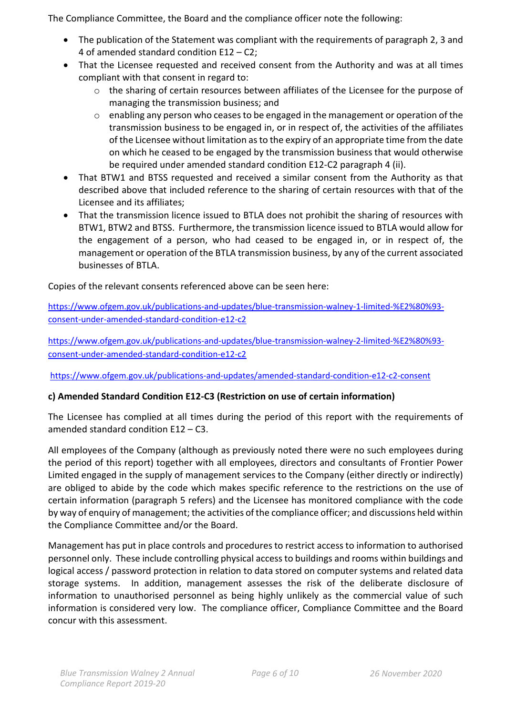The Compliance Committee, the Board and the compliance officer note the following:

- The publication of the Statement was compliant with the requirements of paragraph 2, 3 and 4 of amended standard condition E12 – C2;
- That the Licensee requested and received consent from the Authority and was at all times compliant with that consent in regard to:
	- $\circ$  the sharing of certain resources between affiliates of the Licensee for the purpose of managing the transmission business; and
	- o enabling any person who ceases to be engaged in the management or operation of the transmission business to be engaged in, or in respect of, the activities of the affiliates of the Licensee without limitation as to the expiry of an appropriate time from the date on which he ceased to be engaged by the transmission business that would otherwise be required under amended standard condition E12-C2 paragraph 4 (ii).
- That BTW1 and BTSS requested and received a similar consent from the Authority as that described above that included reference to the sharing of certain resources with that of the Licensee and its affiliates;
- That the transmission licence issued to BTLA does not prohibit the sharing of resources with BTW1, BTW2 and BTSS. Furthermore, the transmission licence issued to BTLA would allow for the engagement of a person, who had ceased to be engaged in, or in respect of, the management or operation of the BTLA transmission business, by any of the current associated businesses of BTLA.

Copies of the relevant consents referenced above can be seen here:

[https://www.ofgem.gov.uk/publications-and-updates/blue-transmission-walney-1-limited-%E2%80%93](https://www.ofgem.gov.uk/publications-and-updates/blue-transmission-walney-1-limited-%E2%80%93-consent-under-amended-standard-condition-e12-c2) [consent-under-amended-standard-condition-e12-c2](https://www.ofgem.gov.uk/publications-and-updates/blue-transmission-walney-1-limited-%E2%80%93-consent-under-amended-standard-condition-e12-c2)

[https://www.ofgem.gov.uk/publications-and-updates/blue-transmission-walney-2-limited-%E2%80%93](https://www.ofgem.gov.uk/publications-and-updates/blue-transmission-walney-2-limited-%E2%80%93-consent-under-amended-standard-condition-e12-c2) [consent-under-amended-standard-condition-e12-c2](https://www.ofgem.gov.uk/publications-and-updates/blue-transmission-walney-2-limited-%E2%80%93-consent-under-amended-standard-condition-e12-c2)

<https://www.ofgem.gov.uk/publications-and-updates/amended-standard-condition-e12-c2-consent>

#### **c) Amended Standard Condition E12-C3 (Restriction on use of certain information)**

The Licensee has complied at all times during the period of this report with the requirements of amended standard condition E12 – C3.

All employees of the Company (although as previously noted there were no such employees during the period of this report) together with all employees, directors and consultants of Frontier Power Limited engaged in the supply of management services to the Company (either directly or indirectly) are obliged to abide by the code which makes specific reference to the restrictions on the use of certain information (paragraph 5 refers) and the Licensee has monitored compliance with the code by way of enquiry of management; the activities of the compliance officer; and discussions held within the Compliance Committee and/or the Board.

Management has put in place controls and procedures to restrict access to information to authorised personnel only. These include controlling physical access to buildings and rooms within buildings and logical access / password protection in relation to data stored on computer systems and related data storage systems. In addition, management assesses the risk of the deliberate disclosure of information to unauthorised personnel as being highly unlikely as the commercial value of such information is considered very low. The compliance officer, Compliance Committee and the Board concur with this assessment.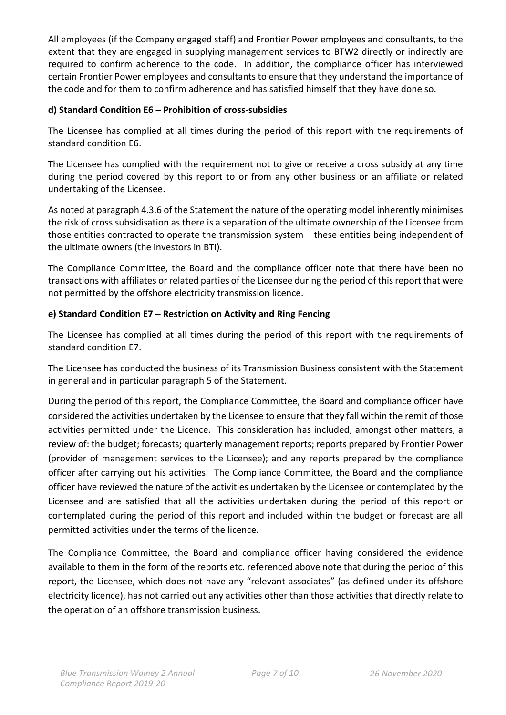All employees (if the Company engaged staff) and Frontier Power employees and consultants, to the extent that they are engaged in supplying management services to BTW2 directly or indirectly are required to confirm adherence to the code. In addition, the compliance officer has interviewed certain Frontier Power employees and consultants to ensure that they understand the importance of the code and for them to confirm adherence and has satisfied himself that they have done so.

# **d) Standard Condition E6 – Prohibition of cross-subsidies**

The Licensee has complied at all times during the period of this report with the requirements of standard condition E6.

The Licensee has complied with the requirement not to give or receive a cross subsidy at any time during the period covered by this report to or from any other business or an affiliate or related undertaking of the Licensee.

As noted at paragraph 4.3.6 of the Statement the nature of the operating model inherently minimises the risk of cross subsidisation as there is a separation of the ultimate ownership of the Licensee from those entities contracted to operate the transmission system – these entities being independent of the ultimate owners (the investors in BTI).

The Compliance Committee, the Board and the compliance officer note that there have been no transactions with affiliates or related parties of the Licensee during the period of this report that were not permitted by the offshore electricity transmission licence.

# **e) Standard Condition E7 – Restriction on Activity and Ring Fencing**

The Licensee has complied at all times during the period of this report with the requirements of standard condition E7.

The Licensee has conducted the business of its Transmission Business consistent with the Statement in general and in particular paragraph 5 of the Statement.

During the period of this report, the Compliance Committee, the Board and compliance officer have considered the activities undertaken by the Licensee to ensure that they fall within the remit of those activities permitted under the Licence. This consideration has included, amongst other matters, a review of: the budget; forecasts; quarterly management reports; reports prepared by Frontier Power (provider of management services to the Licensee); and any reports prepared by the compliance officer after carrying out his activities. The Compliance Committee, the Board and the compliance officer have reviewed the nature of the activities undertaken by the Licensee or contemplated by the Licensee and are satisfied that all the activities undertaken during the period of this report or contemplated during the period of this report and included within the budget or forecast are all permitted activities under the terms of the licence.

The Compliance Committee, the Board and compliance officer having considered the evidence available to them in the form of the reports etc. referenced above note that during the period of this report, the Licensee, which does not have any "relevant associates" (as defined under its offshore electricity licence), has not carried out any activities other than those activities that directly relate to the operation of an offshore transmission business.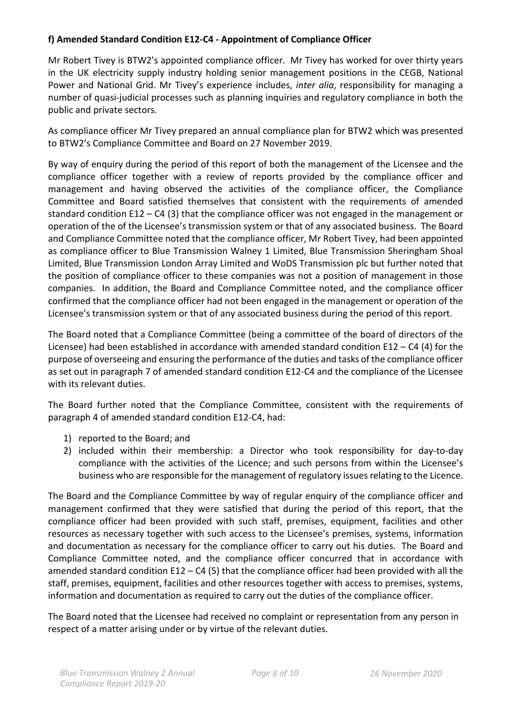# **f) Amended Standard Condition E12-C4 - Appointment of Compliance Officer**

Mr Robert Tivey is BTW2's appointed compliance officer. Mr Tivey has worked for over thirty years in the UK electricity supply industry holding senior management positions in the CEGB, National Power and National Grid. Mr Tivey's experience includes, *inter alia*, responsibility for managing a number of quasi-judicial processes such as planning inquiries and regulatory compliance in both the public and private sectors.

As compliance officer Mr Tivey prepared an annual compliance plan for BTW2 which was presented to BTW2's Compliance Committee and Board on 27 November 2019.

By way of enquiry during the period of this report of both the management of the Licensee and the compliance officer together with a review of reports provided by the compliance officer and management and having observed the activities of the compliance officer, the Compliance Committee and Board satisfied themselves that consistent with the requirements of amended standard condition E12 – C4 (3) that the compliance officer was not engaged in the management or operation of the of the Licensee's transmission system or that of any associated business. The Board and Compliance Committee noted that the compliance officer, Mr Robert Tivey, had been appointed as compliance officer to Blue Transmission Walney 1 Limited, Blue Transmission Sheringham Shoal Limited, Blue Transmission London Array Limited and WoDS Transmission plc but further noted that the position of compliance officer to these companies was not a position of management in those companies. In addition, the Board and Compliance Committee noted, and the compliance officer confirmed that the compliance officer had not been engaged in the management or operation of the Licensee's transmission system or that of any associated business during the period of this report.

The Board noted that a Compliance Committee (being a committee of the board of directors of the Licensee) had been established in accordance with amended standard condition E12 – C4 (4) for the purpose of overseeing and ensuring the performance of the duties and tasks of the compliance officer as set out in paragraph 7 of amended standard condition E12-C4 and the compliance of the Licensee with its relevant duties.

The Board further noted that the Compliance Committee, consistent with the requirements of paragraph 4 of amended standard condition E12-C4, had:

- 1) reported to the Board; and
- 2) included within their membership: a Director who took responsibility for day-to-day compliance with the activities of the Licence; and such persons from within the Licensee's business who are responsible for the management of regulatory issues relating to the Licence.

The Board and the Compliance Committee by way of regular enquiry of the compliance officer and management confirmed that they were satisfied that during the period of this report, that the compliance officer had been provided with such staff, premises, equipment, facilities and other resources as necessary together with such access to the Licensee's premises, systems, information and documentation as necessary for the compliance officer to carry out his duties. The Board and Compliance Committee noted, and the compliance officer concurred that in accordance with amended standard condition E12 – C4 (5) that the compliance officer had been provided with all the staff, premises, equipment, facilities and other resources together with access to premises, systems, information and documentation as required to carry out the duties of the compliance officer.

The Board noted that the Licensee had received no complaint or representation from any person in respect of a matter arising under or by virtue of the relevant duties.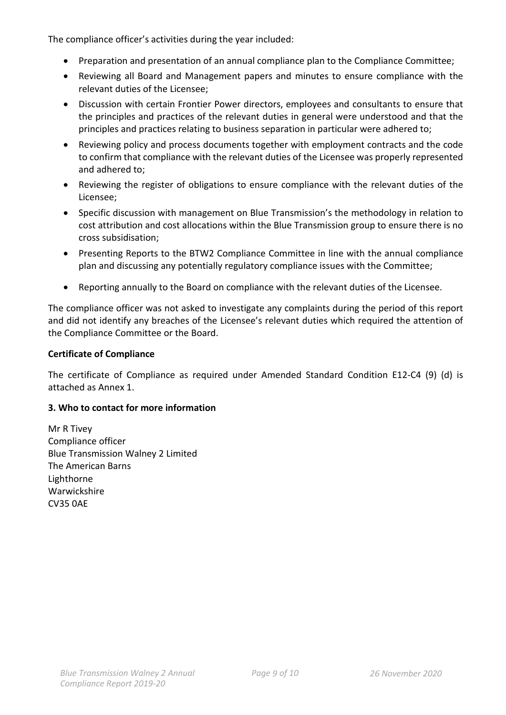The compliance officer's activities during the year included:

- Preparation and presentation of an annual compliance plan to the Compliance Committee;
- Reviewing all Board and Management papers and minutes to ensure compliance with the relevant duties of the Licensee;
- Discussion with certain Frontier Power directors, employees and consultants to ensure that the principles and practices of the relevant duties in general were understood and that the principles and practices relating to business separation in particular were adhered to;
- Reviewing policy and process documents together with employment contracts and the code to confirm that compliance with the relevant duties of the Licensee was properly represented and adhered to;
- Reviewing the register of obligations to ensure compliance with the relevant duties of the Licensee;
- Specific discussion with management on Blue Transmission's the methodology in relation to cost attribution and cost allocations within the Blue Transmission group to ensure there is no cross subsidisation;
- Presenting Reports to the BTW2 Compliance Committee in line with the annual compliance plan and discussing any potentially regulatory compliance issues with the Committee;
- Reporting annually to the Board on compliance with the relevant duties of the Licensee.

The compliance officer was not asked to investigate any complaints during the period of this report and did not identify any breaches of the Licensee's relevant duties which required the attention of the Compliance Committee or the Board.

#### **Certificate of Compliance**

The certificate of Compliance as required under Amended Standard Condition E12-C4 (9) (d) is attached as Annex 1.

#### **3. Who to contact for more information**

Mr R Tivey Compliance officer Blue Transmission Walney 2 Limited The American Barns Lighthorne Warwickshire CV35 0AE